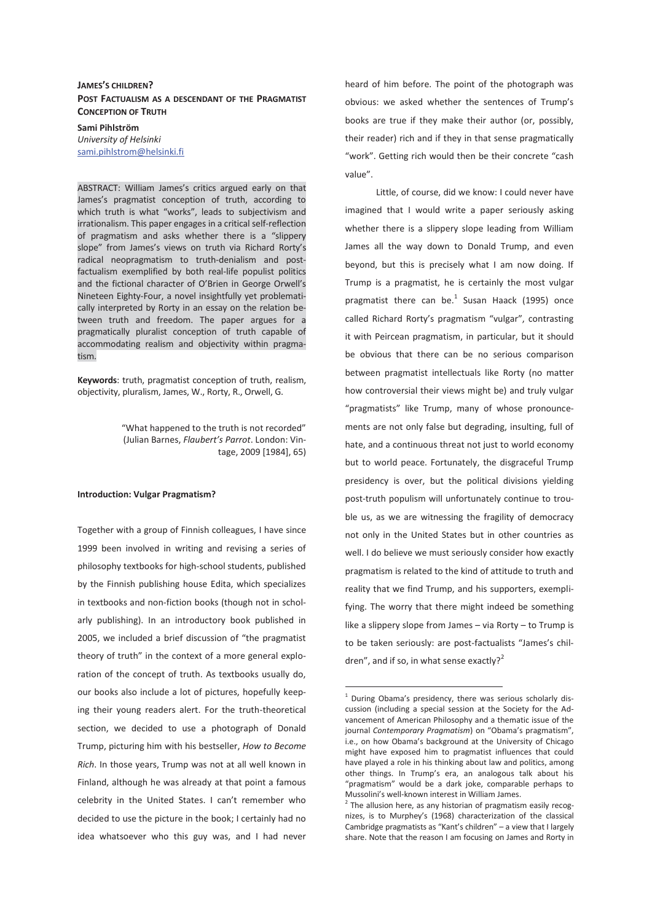# **JAMES'S CHILDREN? POST FACTUALISM AS A DESCENDANT OF THE PRAGMATIST CONCEPTION OF TRUTH**

**Sami Pihlström**  *University of Helsinki*  sami.pihlstrom@helsinki.fi

ABSTRACT: William James's critics argued early on that James's pragmatist conception of truth, according to which truth is what "works", leads to subjectivism and irrationalism. This paper engages in a critical self-reflection of pragmatism and asks whether there is a "slippery slope" from James's views on truth via Richard Rorty's radical neopragmatism to truth-denialism and postfactualism exemplified by both real-life populist politics and the fictional character of O'Brien in George Orwell's Nineteen Eighty-Four, a novel insightfully yet problematically interpreted by Rorty in an essay on the relation between truth and freedom. The paper argues for a pragmatically pluralist conception of truth capable of accommodating realism and objectivity within pragmatism.

**Keywords**: truth, pragmatist conception of truth, realism, objectivity, pluralism, James, W., Rorty, R., Orwell, G.

> "What happened to the truth is not recorded" (Julian Barnes, *Flaubert's Parrot*. London: Vintage, 2009 [1984], 65)

#### **Introduction: Vulgar Pragmatism?**

Together with a group of Finnish colleagues, I have since 1999 been involved in writing and revising a series of philosophy textbooks for high-school students, published by the Finnish publishing house Edita, which specializes in textbooks and non-fiction books (though not in scholarly publishing). In an introductory book published in 2005, we included a brief discussion of "the pragmatist theory of truth" in the context of a more general exploration of the concept of truth. As textbooks usually do, our books also include a lot of pictures, hopefully keeping their young readers alert. For the truth-theoretical section, we decided to use a photograph of Donald Trump, picturing him with his bestseller, *How to Become Rich*. In those years, Trump was not at all well known in Finland, although he was already at that point a famous celebrity in the United States. I can't remember who decided to use the picture in the book; I certainly had no idea whatsoever who this guy was, and I had never

heard of him before. The point of the photograph was obvious: we asked whether the sentences of Trump's books are true if they make their author (or, possibly, their reader) rich and if they in that sense pragmatically "work". Getting rich would then be their concrete "cash value".

 Little, of course, did we know: I could never have imagined that I would write a paper seriously asking whether there is a slippery slope leading from William James all the way down to Donald Trump, and even beyond, but this is precisely what I am now doing. If Trump is a pragmatist, he is certainly the most vulgar pragmatist there can be. $^1$  Susan Haack (1995) once called Richard Rorty's pragmatism "vulgar", contrasting it with Peircean pragmatism, in particular, but it should be obvious that there can be no serious comparison between pragmatist intellectuals like Rorty (no matter how controversial their views might be) and truly vulgar "pragmatists" like Trump, many of whose pronouncements are not only false but degrading, insulting, full of hate, and a continuous threat not just to world economy but to world peace. Fortunately, the disgraceful Trump presidency is over, but the political divisions yielding post-truth populism will unfortunately continue to trouble us, as we are witnessing the fragility of democracy not only in the United States but in other countries as well. I do believe we must seriously consider how exactly pragmatism is related to the kind of attitude to truth and reality that we find Trump, and his supporters, exemplifying. The worry that there might indeed be something like a slippery slope from James – via Rorty – to Trump is to be taken seriously: are post-factualists "James's children", and if so, in what sense exactly?<sup>2</sup>

 $\overline{a}$ 

<sup>&</sup>lt;sup>1</sup> During Obama's presidency, there was serious scholarly discussion (including a special session at the Society for the Advancement of American Philosophy and a thematic issue of the journal *Contemporary Pragmatism*) on "Obama's pragmatism", i.e., on how Obama's background at the University of Chicago might have exposed him to pragmatist influences that could have played a role in his thinking about law and politics, among other things. In Trump's era, an analogous talk about his "pragmatism" would be a dark joke, comparable perhaps to Mussolini's well-known interest in William James.

 $2$  The allusion here, as any historian of pragmatism easily recognizes, is to Murphey's (1968) characterization of the classical Cambridge pragmatists as "Kant's children" – a view that I largely share. Note that the reason I am focusing on James and Rorty in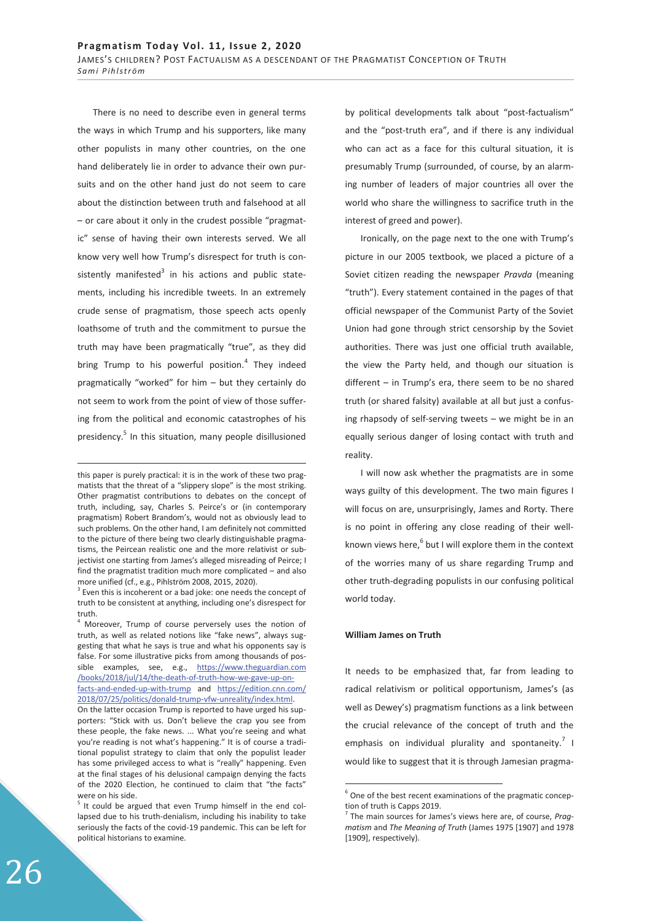There is no need to describe even in general terms the ways in which Trump and his supporters, like many other populists in many other countries, on the one hand deliberately lie in order to advance their own pursuits and on the other hand just do not seem to care about the distinction between truth and falsehood at all – or care about it only in the crudest possible "pragmatic" sense of having their own interests served. We all know very well how Trump's disrespect for truth is consistently manifested<sup>3</sup> in his actions and public statements, including his incredible tweets. In an extremely crude sense of pragmatism, those speech acts openly loathsome of truth and the commitment to pursue the truth may have been pragmatically "true", as they did bring Trump to his powerful position.<sup>4</sup> They indeed pragmatically "worked" for him – but they certainly do not seem to work from the point of view of those suffering from the political and economic catastrophes of his presidency.<sup>5</sup> In this situation, many people disillusioned

-

by political developments talk about "post-factualism" and the "post-truth era", and if there is any individual who can act as a face for this cultural situation, it is presumably Trump (surrounded, of course, by an alarming number of leaders of major countries all over the world who share the willingness to sacrifice truth in the interest of greed and power).

Ironically, on the page next to the one with Trump's picture in our 2005 textbook, we placed a picture of a Soviet citizen reading the newspaper *Pravda* (meaning "truth"). Every statement contained in the pages of that official newspaper of the Communist Party of the Soviet Union had gone through strict censorship by the Soviet authorities. There was just one official truth available, the view the Party held, and though our situation is different – in Trump's era, there seem to be no shared truth (or shared falsity) available at all but just a confusing rhapsody of self-serving tweets – we might be in an equally serious danger of losing contact with truth and reality.

I will now ask whether the pragmatists are in some ways guilty of this development. The two main figures I will focus on are, unsurprisingly, James and Rorty. There is no point in offering any close reading of their wellknown views here, $^6$  but I will explore them in the context of the worries many of us share regarding Trump and other truth-degrading populists in our confusing political world today.

#### **William James on Truth**

-

It needs to be emphasized that, far from leading to radical relativism or political opportunism, James's (as well as Dewey's) pragmatism functions as a link between the crucial relevance of the concept of truth and the emphasis on individual plurality and spontaneity. $^7$  I would like to suggest that it is through Jamesian pragma-

this paper is purely practical: it is in the work of these two pragmatists that the threat of a "slippery slope" is the most striking. Other pragmatist contributions to debates on the concept of truth, including, say, Charles S. Peirce's or (in contemporary pragmatism) Robert Brandom's, would not as obviously lead to such problems. On the other hand, I am definitely not committed to the picture of there being two clearly distinguishable pragmatisms, the Peircean realistic one and the more relativist or subjectivist one starting from James's alleged misreading of Peirce; I find the pragmatist tradition much more complicated – and also more unified (cf., e.g., Pihlström 2008, 2015, 2020).

 $3$  Even this is incoherent or a bad joke: one needs the concept of truth to be consistent at anything, including one's disrespect for truth.

<sup>&</sup>lt;sup>4</sup> Moreover, Trump of course perversely uses the notion of truth, as well as related notions like "fake news", always suggesting that what he says is true and what his opponents say is false. For some illustrative picks from among thousands of possible examples, see, e.g., https://www.theguardian.com /books/2018/jul/14/the-death-of-truth-how-we-gave-up-onfacts-and-ended-up-with-trump and https://edition.cnn.com/ 2018/07/25/politics/donald-trump-vfw-unreality/index.html.

On the latter occasion Trump is reported to have urged his supporters: "Stick with us. Don't believe the crap you see from these people, the fake news. ... What you're seeing and what you're reading is not what's happening." It is of course a traditional populist strategy to claim that only the populist leader has some privileged access to what is "really" happening. Even at the final stages of his delusional campaign denying the facts of the 2020 Election, he continued to claim that "the facts" were on his side.

<sup>&</sup>lt;sup>5</sup> It could be argued that even Trump himself in the end collapsed due to his truth-denialism, including his inability to take seriously the facts of the covid-19 pandemic. This can be left for political historians to examine.

 $6$  One of the best recent examinations of the pragmatic conception of truth is Capps 2019.

<sup>7</sup> The main sources for James's views here are, of course, *Pragmatism* and *The Meaning of Truth* (James 1975 [1907] and 1978 [1909], respectively).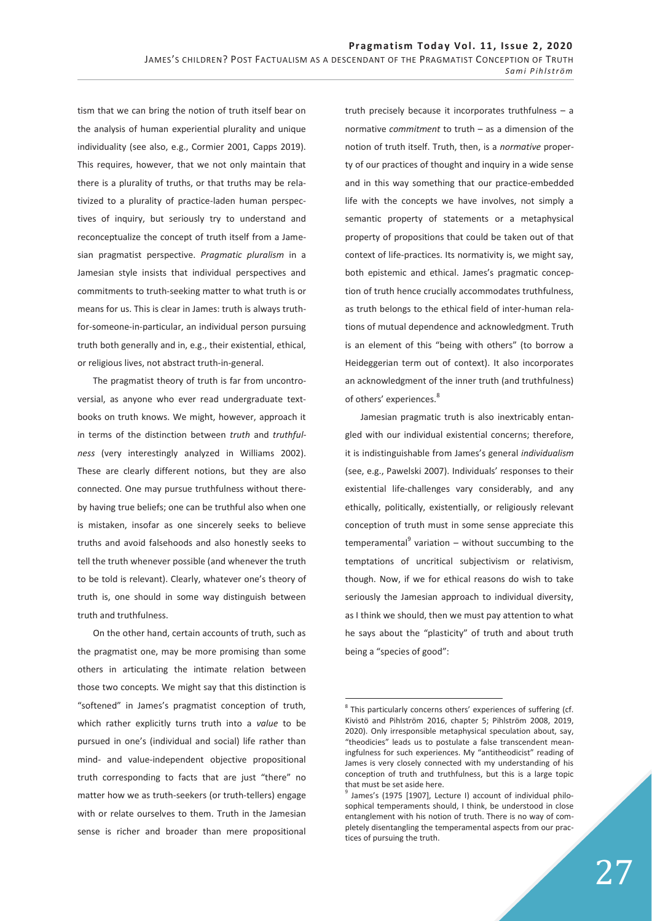tism that we can bring the notion of truth itself bear on the analysis of human experiential plurality and unique individuality (see also, e.g., Cormier 2001, Capps 2019). This requires, however, that we not only maintain that there is a plurality of truths, or that truths may be relativized to a plurality of practice-laden human perspectives of inquiry, but seriously try to understand and reconceptualize the concept of truth itself from a Jamesian pragmatist perspective. *Pragmatic pluralism* in a Jamesian style insists that individual perspectives and commitments to truth-seeking matter to what truth is or means for us. This is clear in James: truth is always truthfor-someone-in-particular, an individual person pursuing truth both generally and in, e.g., their existential, ethical, or religious lives, not abstract truth-in-general.

The pragmatist theory of truth is far from uncontroversial, as anyone who ever read undergraduate textbooks on truth knows. We might, however, approach it in terms of the distinction between *truth* and *truthfulness* (very interestingly analyzed in Williams 2002). These are clearly different notions, but they are also connected. One may pursue truthfulness without thereby having true beliefs; one can be truthful also when one is mistaken, insofar as one sincerely seeks to believe truths and avoid falsehoods and also honestly seeks to tell the truth whenever possible (and whenever the truth to be told is relevant). Clearly, whatever one's theory of truth is, one should in some way distinguish between truth and truthfulness.

On the other hand, certain accounts of truth, such as the pragmatist one, may be more promising than some others in articulating the intimate relation between those two concepts. We might say that this distinction is "softened" in James's pragmatist conception of truth, which rather explicitly turns truth into a *value* to be pursued in one's (individual and social) life rather than mind- and value-independent objective propositional truth corresponding to facts that are just "there" no matter how we as truth-seekers (or truth-tellers) engage with or relate ourselves to them. Truth in the Jamesian sense is richer and broader than mere propositional truth precisely because it incorporates truthfulness – a normative *commitment* to truth – as a dimension of the notion of truth itself. Truth, then, is a *normative* property of our practices of thought and inquiry in a wide sense and in this way something that our practice-embedded life with the concepts we have involves, not simply a semantic property of statements or a metaphysical property of propositions that could be taken out of that context of life-practices. Its normativity is, we might say, both epistemic and ethical. James's pragmatic conception of truth hence crucially accommodates truthfulness, as truth belongs to the ethical field of inter-human relations of mutual dependence and acknowledgment. Truth is an element of this "being with others" (to borrow a Heideggerian term out of context). It also incorporates an acknowledgment of the inner truth (and truthfulness) of others' experiences.<sup>8</sup>

Jamesian pragmatic truth is also inextricably entangled with our individual existential concerns; therefore, it is indistinguishable from James's general *individualism* (see, e.g., Pawelski 2007). Individuals' responses to their existential life-challenges vary considerably, and any ethically, politically, existentially, or religiously relevant conception of truth must in some sense appreciate this temperamental $9$  variation – without succumbing to the temptations of uncritical subjectivism or relativism, though. Now, if we for ethical reasons do wish to take seriously the Jamesian approach to individual diversity, as I think we should, then we must pay attention to what he says about the "plasticity" of truth and about truth being a "species of good":

<sup>-</sup><sup>8</sup> This particularly concerns others' experiences of suffering (cf. Kivistö and Pihlström 2016, chapter 5; Pihlström 2008, 2019, 2020). Only irresponsible metaphysical speculation about, say, "theodicies" leads us to postulate a false transcendent meaningfulness for such experiences. My "antitheodicist" reading of James is very closely connected with my understanding of his conception of truth and truthfulness, but this is a large topic that must be set aside here.

<sup>&</sup>lt;sup>9</sup> James's (1975 [1907], Lecture I) account of individual philosophical temperaments should, I think, be understood in close entanglement with his notion of truth. There is no way of completely disentangling the temperamental aspects from our practices of pursuing the truth.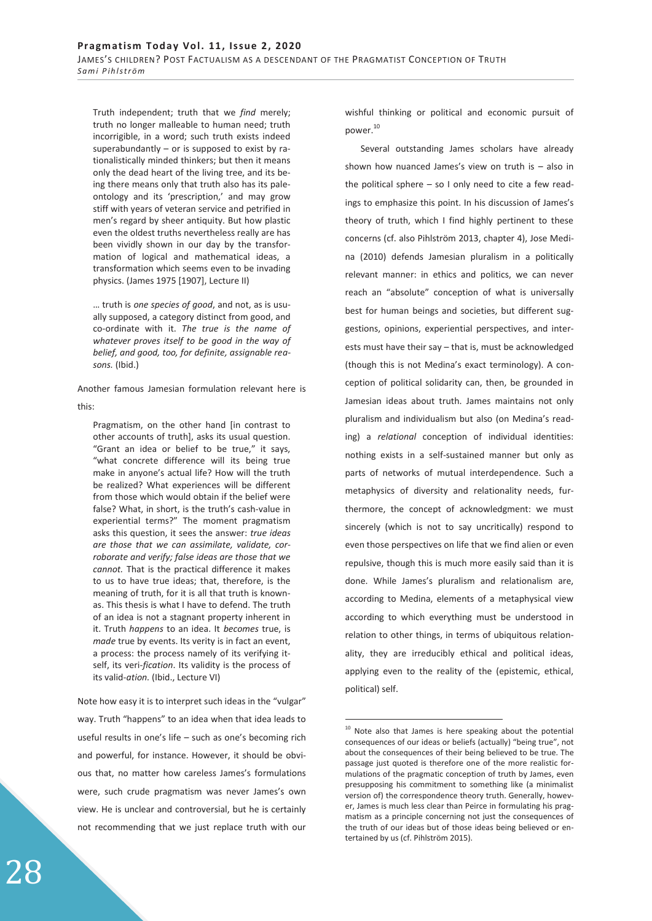Truth independent; truth that we *find* merely; truth no longer malleable to human need; truth incorrigible, in a word; such truth exists indeed superabundantly – or is supposed to exist by rationalistically minded thinkers; but then it means only the dead heart of the living tree, and its being there means only that truth also has its paleontology and its 'prescription,' and may grow stiff with years of veteran service and petrified in men's regard by sheer antiquity. But how plastic even the oldest truths nevertheless really are has been vividly shown in our day by the transformation of logical and mathematical ideas, a transformation which seems even to be invading physics. (James 1975 [1907], Lecture II)

… truth is *one species of good*, and not, as is usually supposed, a category distinct from good, and co-ordinate with it. *The true is the name of whatever proves itself to be good in the way of belief, and good, too, for definite, assignable reasons.* (Ibid.)

Another famous Jamesian formulation relevant here is this:

Pragmatism, on the other hand [in contrast to other accounts of truth], asks its usual question. "Grant an idea or belief to be true," it says, "what concrete difference will its being true make in anyone's actual life? How will the truth be realized? What experiences will be different from those which would obtain if the belief were false? What, in short, is the truth's cash-value in experiential terms?" The moment pragmatism asks this question, it sees the answer: *true ideas are those that we can assimilate, validate, corroborate and verify; false ideas are those that we cannot.* That is the practical difference it makes to us to have true ideas; that, therefore, is the meaning of truth, for it is all that truth is knownas. This thesis is what I have to defend. The truth of an idea is not a stagnant property inherent in it. Truth *happens* to an idea. It *becomes* true, is *made* true by events. Its verity is in fact an event, a process: the process namely of its verifying itself, its veri-*fication*. Its validity is the process of its valid-*ation.* (Ibid., Lecture VI)

Note how easy it is to interpret such ideas in the "vulgar" way. Truth "happens" to an idea when that idea leads to useful results in one's life – such as one's becoming rich and powerful, for instance. However, it should be obvious that, no matter how careless James's formulations were, such crude pragmatism was never James's own view. He is unclear and controversial, but he is certainly not recommending that we just replace truth with our

wishful thinking or political and economic pursuit of power.<sup>10</sup>

Several outstanding James scholars have already shown how nuanced James's view on truth is – also in the political sphere – so I only need to cite a few readings to emphasize this point. In his discussion of James's theory of truth, which I find highly pertinent to these concerns (cf. also Pihlström 2013, chapter 4), Jose Medina (2010) defends Jamesian pluralism in a politically relevant manner: in ethics and politics, we can never reach an "absolute" conception of what is universally best for human beings and societies, but different suggestions, opinions, experiential perspectives, and interests must have their say – that is, must be acknowledged (though this is not Medina's exact terminology). A conception of political solidarity can, then, be grounded in Jamesian ideas about truth. James maintains not only pluralism and individualism but also (on Medina's reading) a *relational* conception of individual identities: nothing exists in a self-sustained manner but only as parts of networks of mutual interdependence. Such a metaphysics of diversity and relationality needs, furthermore, the concept of acknowledgment: we must sincerely (which is not to say uncritically) respond to even those perspectives on life that we find alien or even repulsive, though this is much more easily said than it is done. While James's pluralism and relationalism are, according to Medina, elements of a metaphysical view according to which everything must be understood in relation to other things, in terms of ubiquitous relationality, they are irreducibly ethical and political ideas, applying even to the reality of the (epistemic, ethical, political) self.

-

<sup>&</sup>lt;sup>10</sup> Note also that James is here speaking about the potential consequences of our ideas or beliefs (actually) "being true", not about the consequences of their being believed to be true. The passage just quoted is therefore one of the more realistic formulations of the pragmatic conception of truth by James, even presupposing his commitment to something like (a minimalist version of) the correspondence theory truth. Generally, however, James is much less clear than Peirce in formulating his pragmatism as a principle concerning not just the consequences of the truth of our ideas but of those ideas being believed or entertained by us (cf. Pihlström 2015).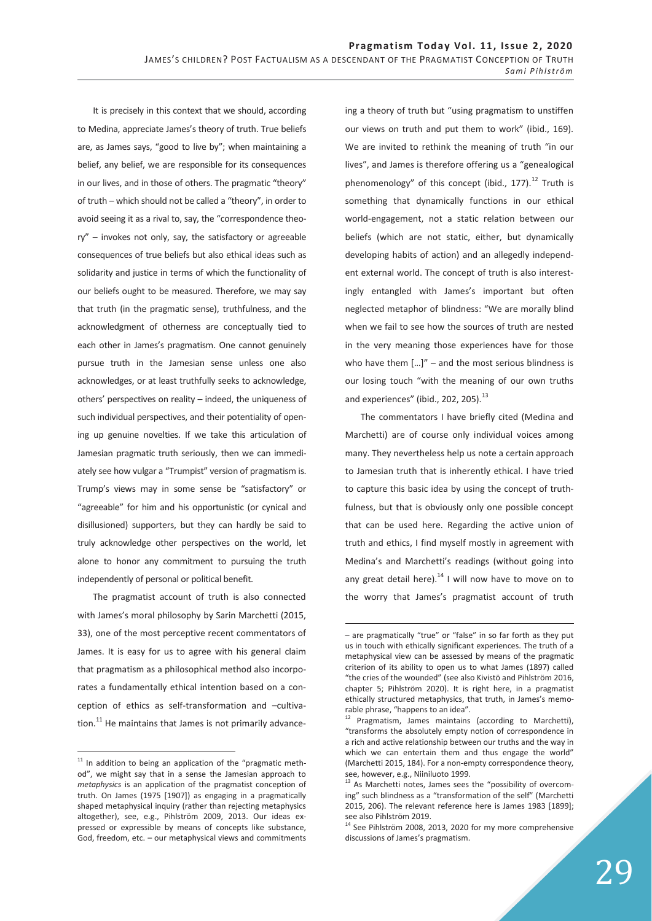-

It is precisely in this context that we should, according to Medina, appreciate James's theory of truth. True beliefs are, as James says, "good to live by"; when maintaining a belief, any belief, we are responsible for its consequences in our lives, and in those of others. The pragmatic "theory" of truth – which should not be called a "theory", in order to avoid seeing it as a rival to, say, the "correspondence theory" – invokes not only, say, the satisfactory or agreeable consequences of true beliefs but also ethical ideas such as solidarity and justice in terms of which the functionality of our beliefs ought to be measured. Therefore, we may say that truth (in the pragmatic sense), truthfulness, and the acknowledgment of otherness are conceptually tied to each other in James's pragmatism. One cannot genuinely pursue truth in the Jamesian sense unless one also acknowledges, or at least truthfully seeks to acknowledge, others' perspectives on reality – indeed, the uniqueness of such individual perspectives, and their potentiality of opening up genuine novelties. If we take this articulation of Jamesian pragmatic truth seriously, then we can immediately see how vulgar a "Trumpist" version of pragmatism is. Trump's views may in some sense be "satisfactory" or "agreeable" for him and his opportunistic (or cynical and disillusioned) supporters, but they can hardly be said to truly acknowledge other perspectives on the world, let alone to honor any commitment to pursuing the truth independently of personal or political benefit.

The pragmatist account of truth is also connected with James's moral philosophy by Sarin Marchetti (2015, 33), one of the most perceptive recent commentators of James. It is easy for us to agree with his general claim that pragmatism as a philosophical method also incorporates a fundamentally ethical intention based on a conception of ethics as self-transformation and –cultivation. $^{11}$  He maintains that James is not primarily advance-

 $\overline{a}$ 

ing a theory of truth but "using pragmatism to unstiffen our views on truth and put them to work" (ibid., 169). We are invited to rethink the meaning of truth "in our lives", and James is therefore offering us a "genealogical phenomenology" of this concept (ibid., 177). $^{12}$  Truth is something that dynamically functions in our ethical world-engagement, not a static relation between our beliefs (which are not static, either, but dynamically developing habits of action) and an allegedly independent external world. The concept of truth is also interestingly entangled with James's important but often neglected metaphor of blindness: "We are morally blind when we fail to see how the sources of truth are nested in the very meaning those experiences have for those who have them  $[...]'' -$  and the most serious blindness is our losing touch "with the meaning of our own truths and experiences" (ibid., 202, 205). $^{13}$ 

The commentators I have briefly cited (Medina and Marchetti) are of course only individual voices among many. They nevertheless help us note a certain approach to Jamesian truth that is inherently ethical. I have tried to capture this basic idea by using the concept of truthfulness, but that is obviously only one possible concept that can be used here. Regarding the active union of truth and ethics, I find myself mostly in agreement with Medina's and Marchetti's readings (without going into any great detail here). $^{14}$  I will now have to move on to the worry that James's pragmatist account of truth

 $11$  In addition to being an application of the "pragmatic method", we might say that in a sense the Jamesian approach to *metaphysics* is an application of the pragmatist conception of truth. On James (1975 [1907]) as engaging in a pragmatically shaped metaphysical inquiry (rather than rejecting metaphysics altogether), see, e.g., Pihlström 2009, 2013. Our ideas expressed or expressible by means of concepts like substance, God, freedom, etc. – our metaphysical views and commitments

<sup>–</sup> are pragmatically "true" or "false" in so far forth as they put us in touch with ethically significant experiences. The truth of a metaphysical view can be assessed by means of the pragmatic criterion of its ability to open us to what James (1897) called "the cries of the wounded" (see also Kivistö and Pihlström 2016, chapter 5; Pihlström 2020). It is right here, in a pragmatist ethically structured metaphysics, that truth, in James's memorable phrase, "happens to an idea".

 $12$  Pragmatism, James maintains (according to Marchetti), "transforms the absolutely empty notion of correspondence in a rich and active relationship between our truths and the way in which we can entertain them and thus engage the world" (Marchetti 2015, 184). For a non-empty correspondence theory, see, however, e.g., Niiniluoto 1999.

<sup>&</sup>lt;sup>13</sup> As Marchetti notes, James sees the "possibility of overcoming" such blindness as a "transformation of the self" (Marchetti 2015, 206). The relevant reference here is James 1983 [1899]; see also Pihlström 2019.

 $14$  See Pihlström 2008, 2013, 2020 for my more comprehensive discussions of James's pragmatism.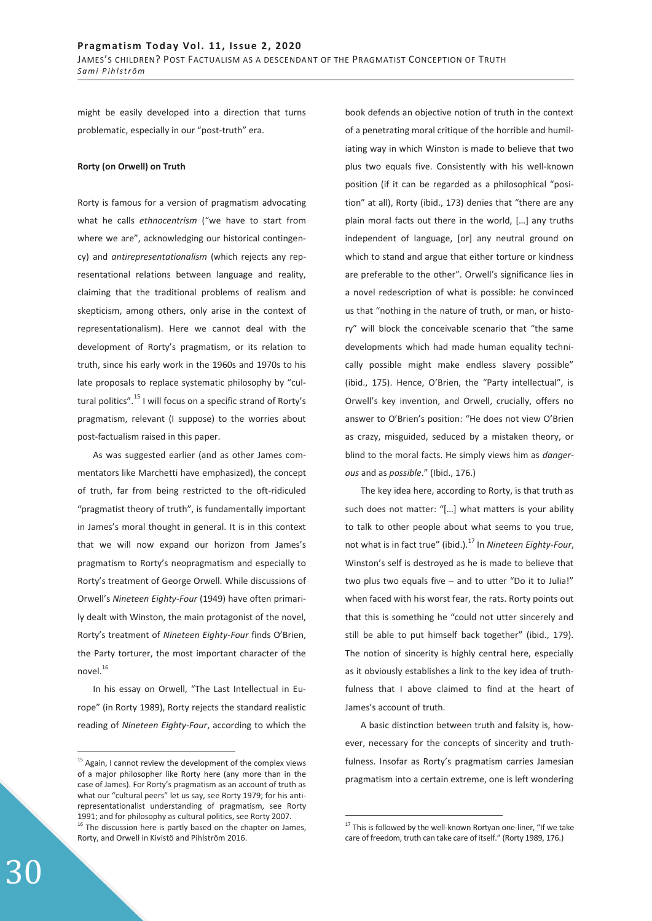might be easily developed into a direction that turns problematic, especially in our "post-truth" era.

## **Rorty (on Orwell) on Truth**

Rorty is famous for a version of pragmatism advocating what he calls *ethnocentrism* ("we have to start from where we are", acknowledging our historical contingency) and *antirepresentationalism* (which rejects any representational relations between language and reality, claiming that the traditional problems of realism and skepticism, among others, only arise in the context of representationalism). Here we cannot deal with the development of Rorty's pragmatism, or its relation to truth, since his early work in the 1960s and 1970s to his late proposals to replace systematic philosophy by "cultural politics".<sup>15</sup> I will focus on a specific strand of Rorty's pragmatism, relevant (I suppose) to the worries about post-factualism raised in this paper.

As was suggested earlier (and as other James commentators like Marchetti have emphasized), the concept of truth, far from being restricted to the oft-ridiculed "pragmatist theory of truth", is fundamentally important in James's moral thought in general. It is in this context that we will now expand our horizon from James's pragmatism to Rorty's neopragmatism and especially to Rorty's treatment of George Orwell. While discussions of Orwell's *Nineteen Eighty-Four* (1949) have often primarily dealt with Winston, the main protagonist of the novel, Rorty's treatment of *Nineteen Eighty-Four* finds O'Brien, the Party torturer, the most important character of the novel.<sup>16</sup>

In his essay on Orwell, "The Last Intellectual in Europe" (in Rorty 1989), Rorty rejects the standard realistic reading of *Nineteen Eighty-Four*, according to which the

book defends an objective notion of truth in the context of a penetrating moral critique of the horrible and humiliating way in which Winston is made to believe that two plus two equals five. Consistently with his well-known position (if it can be regarded as a philosophical "position" at all), Rorty (ibid., 173) denies that "there are any plain moral facts out there in the world, […] any truths independent of language, [or] any neutral ground on which to stand and argue that either torture or kindness are preferable to the other". Orwell's significance lies in a novel redescription of what is possible: he convinced us that "nothing in the nature of truth, or man, or history" will block the conceivable scenario that "the same developments which had made human equality technically possible might make endless slavery possible" (ibid., 175). Hence, O'Brien, the "Party intellectual", is Orwell's key invention, and Orwell, crucially, offers no answer to O'Brien's position: "He does not view O'Brien as crazy, misguided, seduced by a mistaken theory, or blind to the moral facts. He simply views him as *dangerous* and as *possible*." (Ibid., 176.)

The key idea here, according to Rorty, is that truth as such does not matter: "[…] what matters is your ability to talk to other people about what seems to you true, not what is in fact true" (ibid.).17 In *Nineteen Eighty-Four*, Winston's self is destroyed as he is made to believe that two plus two equals five – and to utter "Do it to Julia!" when faced with his worst fear, the rats. Rorty points out that this is something he "could not utter sincerely and still be able to put himself back together" (ibid., 179). The notion of sincerity is highly central here, especially as it obviously establishes a link to the key idea of truthfulness that I above claimed to find at the heart of James's account of truth.

A basic distinction between truth and falsity is, however, necessary for the concepts of sincerity and truthfulness. Insofar as Rorty's pragmatism carries Jamesian pragmatism into a certain extreme, one is left wondering

 $\overline{a}$ 

 $\overline{a}$ 

<sup>&</sup>lt;sup>15</sup> Again, I cannot review the development of the complex views of a major philosopher like Rorty here (any more than in the case of James). For Rorty's pragmatism as an account of truth as what our "cultural peers" let us say, see Rorty 1979; for his antirepresentationalist understanding of pragmatism, see Rorty 1991; and for philosophy as cultural politics, see Rorty 2007.  $16$  The discussion here is partly based on the chapter on James, Rorty, and Orwell in Kivistö and Pihlström 2016.

 $17$  This is followed by the well-known Rortyan one-liner, "If we take care of freedom, truth can take care of itself." (Rorty 1989, 176.)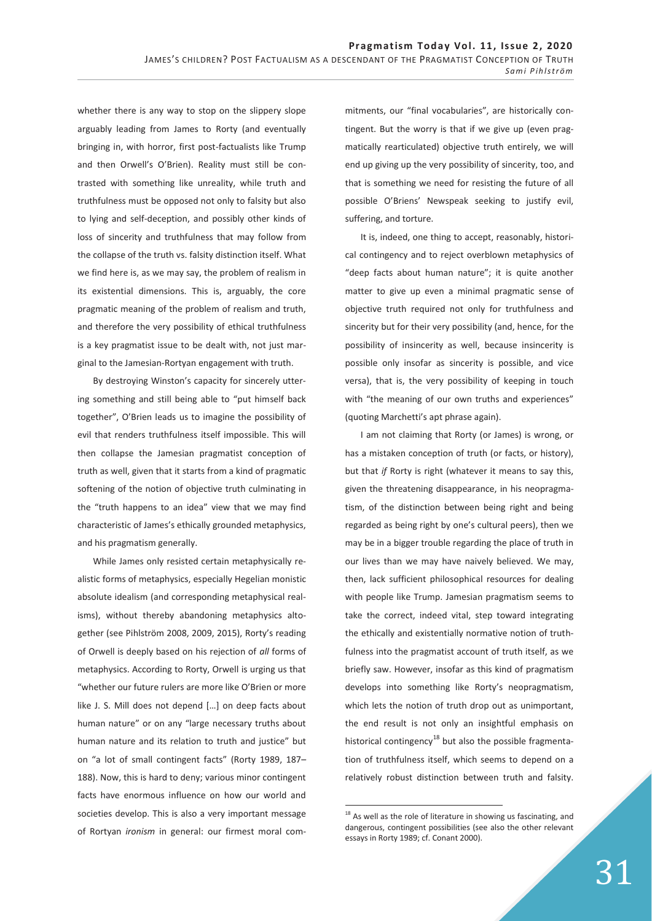whether there is any way to stop on the slippery slope arguably leading from James to Rorty (and eventually bringing in, with horror, first post-factualists like Trump and then Orwell's O'Brien). Reality must still be contrasted with something like unreality, while truth and truthfulness must be opposed not only to falsity but also to lying and self-deception, and possibly other kinds of loss of sincerity and truthfulness that may follow from the collapse of the truth vs. falsity distinction itself. What we find here is, as we may say, the problem of realism in its existential dimensions. This is, arguably, the core pragmatic meaning of the problem of realism and truth, and therefore the very possibility of ethical truthfulness is a key pragmatist issue to be dealt with, not just marginal to the Jamesian-Rortyan engagement with truth.

By destroying Winston's capacity for sincerely uttering something and still being able to "put himself back together", O'Brien leads us to imagine the possibility of evil that renders truthfulness itself impossible. This will then collapse the Jamesian pragmatist conception of truth as well, given that it starts from a kind of pragmatic softening of the notion of objective truth culminating in the "truth happens to an idea" view that we may find characteristic of James's ethically grounded metaphysics, and his pragmatism generally.

While James only resisted certain metaphysically realistic forms of metaphysics, especially Hegelian monistic absolute idealism (and corresponding metaphysical realisms), without thereby abandoning metaphysics altogether (see Pihlström 2008, 2009, 2015), Rorty's reading of Orwell is deeply based on his rejection of *all* forms of metaphysics. According to Rorty, Orwell is urging us that "whether our future rulers are more like O'Brien or more like J. S. Mill does not depend […] on deep facts about human nature" or on any "large necessary truths about human nature and its relation to truth and justice" but on "a lot of small contingent facts" (Rorty 1989, 187– 188). Now, this is hard to deny; various minor contingent facts have enormous influence on how our world and societies develop. This is also a very important message of Rortyan *ironism* in general: our firmest moral com-

mitments, our "final vocabularies", are historically contingent. But the worry is that if we give up (even pragmatically rearticulated) objective truth entirely, we will end up giving up the very possibility of sincerity, too, and that is something we need for resisting the future of all possible O'Briens' Newspeak seeking to justify evil, suffering, and torture.

It is, indeed, one thing to accept, reasonably, historical contingency and to reject overblown metaphysics of "deep facts about human nature"; it is quite another matter to give up even a minimal pragmatic sense of objective truth required not only for truthfulness and sincerity but for their very possibility (and, hence, for the possibility of insincerity as well, because insincerity is possible only insofar as sincerity is possible, and vice versa), that is, the very possibility of keeping in touch with "the meaning of our own truths and experiences" (quoting Marchetti's apt phrase again).

I am not claiming that Rorty (or James) is wrong, or has a mistaken conception of truth (or facts, or history), but that *if* Rorty is right (whatever it means to say this, given the threatening disappearance, in his neopragmatism, of the distinction between being right and being regarded as being right by one's cultural peers), then we may be in a bigger trouble regarding the place of truth in our lives than we may have naively believed. We may, then, lack sufficient philosophical resources for dealing with people like Trump. Jamesian pragmatism seems to take the correct, indeed vital, step toward integrating the ethically and existentially normative notion of truthfulness into the pragmatist account of truth itself, as we briefly saw. However, insofar as this kind of pragmatism develops into something like Rorty's neopragmatism, which lets the notion of truth drop out as unimportant, the end result is not only an insightful emphasis on historical contingency<sup>18</sup> but also the possible fragmentation of truthfulness itself, which seems to depend on a relatively robust distinction between truth and falsity.

-

 $18$  As well as the role of literature in showing us fascinating, and dangerous, contingent possibilities (see also the other relevant essays in Rorty 1989; cf. Conant 2000).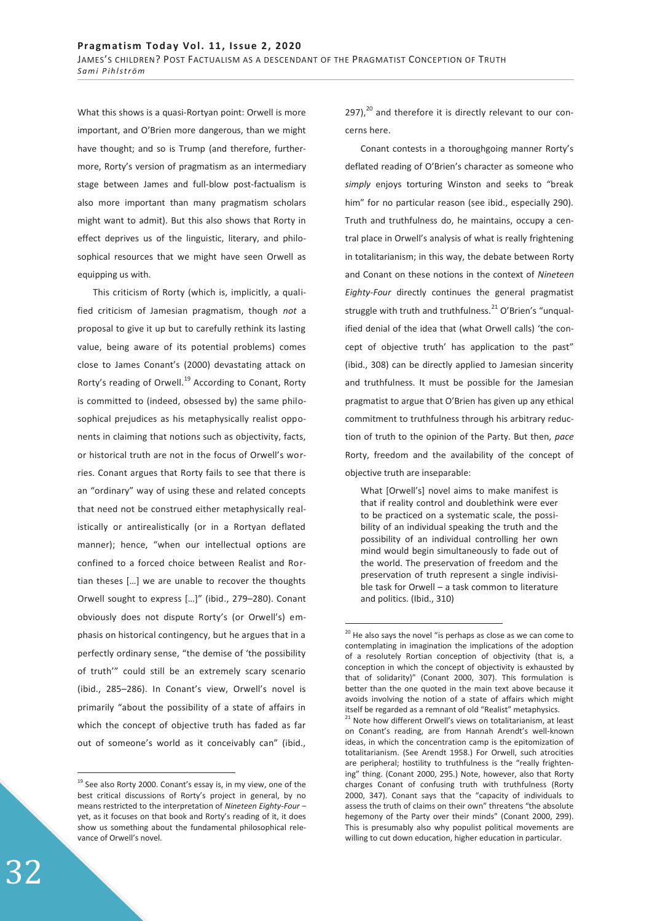What this shows is a quasi-Rortyan point: Orwell is more important, and O'Brien more dangerous, than we might have thought; and so is Trump (and therefore, furthermore, Rorty's version of pragmatism as an intermediary stage between James and full-blow post-factualism is also more important than many pragmatism scholars might want to admit). But this also shows that Rorty in effect deprives us of the linguistic, literary, and philosophical resources that we might have seen Orwell as equipping us with.

This criticism of Rorty (which is, implicitly, a qualified criticism of Jamesian pragmatism, though *not* a proposal to give it up but to carefully rethink its lasting value, being aware of its potential problems) comes close to James Conant's (2000) devastating attack on Rorty's reading of Orwell.<sup>19</sup> According to Conant, Rorty is committed to (indeed, obsessed by) the same philosophical prejudices as his metaphysically realist opponents in claiming that notions such as objectivity, facts, or historical truth are not in the focus of Orwell's worries. Conant argues that Rorty fails to see that there is an "ordinary" way of using these and related concepts that need not be construed either metaphysically realistically or antirealistically (or in a Rortyan deflated manner); hence, "when our intellectual options are confined to a forced choice between Realist and Rortian theses […] we are unable to recover the thoughts Orwell sought to express […]" (ibid., 279–280). Conant obviously does not dispute Rorty's (or Orwell's) emphasis on historical contingency, but he argues that in a perfectly ordinary sense, "the demise of 'the possibility of truth'" could still be an extremely scary scenario (ibid., 285–286). In Conant's view, Orwell's novel is primarily "about the possibility of a state of affairs in which the concept of objective truth has faded as far out of someone's world as it conceivably can" (ibid.,

 $297)$ ,<sup>20</sup> and therefore it is directly relevant to our concerns here.

Conant contests in a thoroughgoing manner Rorty's deflated reading of O'Brien's character as someone who *simply* enjoys torturing Winston and seeks to "break him" for no particular reason (see ibid., especially 290). Truth and truthfulness do, he maintains, occupy a central place in Orwell's analysis of what is really frightening in totalitarianism; in this way, the debate between Rorty and Conant on these notions in the context of *Nineteen Eighty-Four* directly continues the general pragmatist struggle with truth and truthfulness. $^{21}$  O'Brien's "unqualified denial of the idea that (what Orwell calls) 'the concept of objective truth' has application to the past" (ibid., 308) can be directly applied to Jamesian sincerity and truthfulness. It must be possible for the Jamesian pragmatist to argue that O'Brien has given up any ethical commitment to truthfulness through his arbitrary reduction of truth to the opinion of the Party. But then, *pace*  Rorty, freedom and the availability of the concept of objective truth are inseparable:

What [Orwell's] novel aims to make manifest is that if reality control and doublethink were ever to be practiced on a systematic scale, the possibility of an individual speaking the truth and the possibility of an individual controlling her own mind would begin simultaneously to fade out of the world. The preservation of freedom and the preservation of truth represent a single indivisible task for Orwell – a task common to literature and politics. (Ibid., 310)

-

 $\overline{a}$ 

 $19$  See also Rorty 2000. Conant's essay is, in my view, one of the best critical discussions of Rorty's project in general, by no means restricted to the interpretation of *Nineteen Eighty-Four* – yet, as it focuses on that book and Rorty's reading of it, it does show us something about the fundamental philosophical relevance of Orwell's novel.

 $20$  He also says the novel "is perhaps as close as we can come to contemplating in imagination the implications of the adoption of a resolutely Rortian conception of objectivity (that is, a conception in which the concept of objectivity is exhausted by that of solidarity)" (Conant 2000, 307). This formulation is better than the one quoted in the main text above because it avoids involving the notion of a state of affairs which might itself be regarded as a remnant of old "Realist" metaphysics.

<sup>&</sup>lt;sup>21</sup> Note how different Orwell's views on totalitarianism, at least on Conant's reading, are from Hannah Arendt's well-known ideas, in which the concentration camp is the epitomization of totalitarianism. (See Arendt 1958.) For Orwell, such atrocities are peripheral; hostility to truthfulness is the "really frightening" thing. (Conant 2000, 295.) Note, however, also that Rorty charges Conant of confusing truth with truthfulness (Rorty 2000, 347). Conant says that the "capacity of individuals to assess the truth of claims on their own" threatens "the absolute hegemony of the Party over their minds" (Conant 2000, 299). This is presumably also why populist political movements are willing to cut down education, higher education in particular.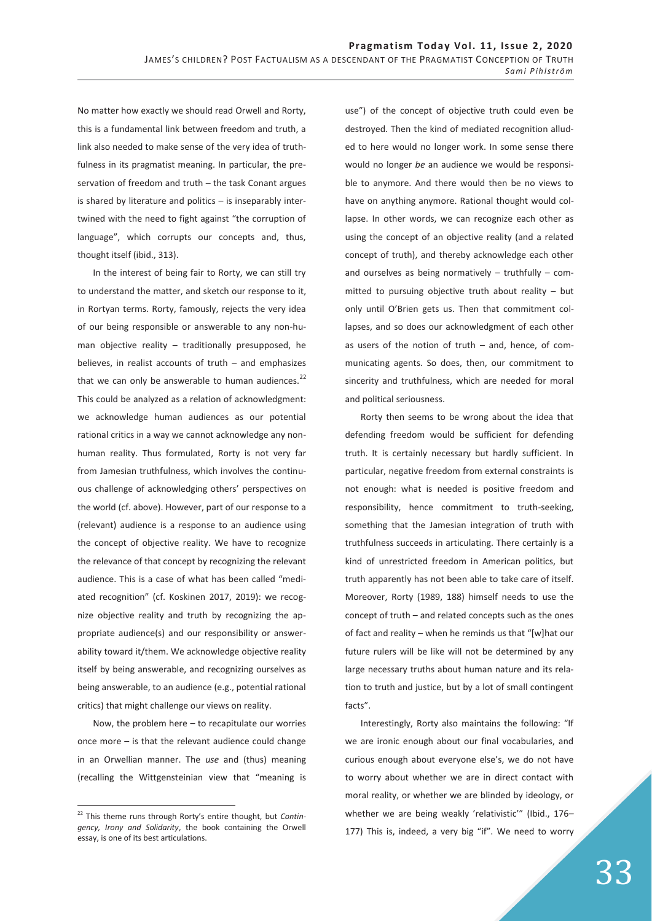No matter how exactly we should read Orwell and Rorty, this is a fundamental link between freedom and truth, a link also needed to make sense of the very idea of truthfulness in its pragmatist meaning. In particular, the preservation of freedom and truth – the task Conant argues is shared by literature and politics – is inseparably intertwined with the need to fight against "the corruption of language", which corrupts our concepts and, thus, thought itself (ibid., 313).

In the interest of being fair to Rorty, we can still try to understand the matter, and sketch our response to it, in Rortyan terms. Rorty, famously, rejects the very idea of our being responsible or answerable to any non-human objective reality – traditionally presupposed, he believes, in realist accounts of truth – and emphasizes that we can only be answerable to human audiences. $^{22}$ This could be analyzed as a relation of acknowledgment: we acknowledge human audiences as our potential rational critics in a way we cannot acknowledge any nonhuman reality. Thus formulated, Rorty is not very far from Jamesian truthfulness, which involves the continuous challenge of acknowledging others' perspectives on the world (cf. above). However, part of our response to a (relevant) audience is a response to an audience using the concept of objective reality. We have to recognize the relevance of that concept by recognizing the relevant audience. This is a case of what has been called "mediated recognition" (cf. Koskinen 2017, 2019): we recognize objective reality and truth by recognizing the appropriate audience(s) and our responsibility or answerability toward it/them. We acknowledge objective reality itself by being answerable, and recognizing ourselves as being answerable, to an audience (e.g., potential rational critics) that might challenge our views on reality.

Now, the problem here – to recapitulate our worries once more – is that the relevant audience could change in an Orwellian manner. The *use* and (thus) meaning (recalling the Wittgensteinian view that "meaning is

 $\overline{a}$ 

use") of the concept of objective truth could even be destroyed. Then the kind of mediated recognition alluded to here would no longer work. In some sense there would no longer *be* an audience we would be responsible to anymore. And there would then be no views to have on anything anymore. Rational thought would collapse. In other words, we can recognize each other as using the concept of an objective reality (and a related concept of truth), and thereby acknowledge each other and ourselves as being normatively  $-$  truthfully  $-$  committed to pursuing objective truth about reality – but only until O'Brien gets us. Then that commitment collapses, and so does our acknowledgment of each other as users of the notion of truth – and, hence, of communicating agents. So does, then, our commitment to sincerity and truthfulness, which are needed for moral and political seriousness.

Rorty then seems to be wrong about the idea that defending freedom would be sufficient for defending truth. It is certainly necessary but hardly sufficient. In particular, negative freedom from external constraints is not enough: what is needed is positive freedom and responsibility, hence commitment to truth-seeking, something that the Jamesian integration of truth with truthfulness succeeds in articulating. There certainly is a kind of unrestricted freedom in American politics, but truth apparently has not been able to take care of itself. Moreover, Rorty (1989, 188) himself needs to use the concept of truth – and related concepts such as the ones of fact and reality – when he reminds us that "[w]hat our future rulers will be like will not be determined by any large necessary truths about human nature and its relation to truth and justice, but by a lot of small contingent facts".

Interestingly, Rorty also maintains the following: "If we are ironic enough about our final vocabularies, and curious enough about everyone else's, we do not have to worry about whether we are in direct contact with moral reality, or whether we are blinded by ideology, or whether we are being weakly 'relativistic'" (Ibid., 176– 177) This is, indeed, a very big "if". We need to worry

<sup>22</sup> This theme runs through Rorty's entire thought, but *Contingency, Irony and Solidarity*, the book containing the Orwell essay, is one of its best articulations.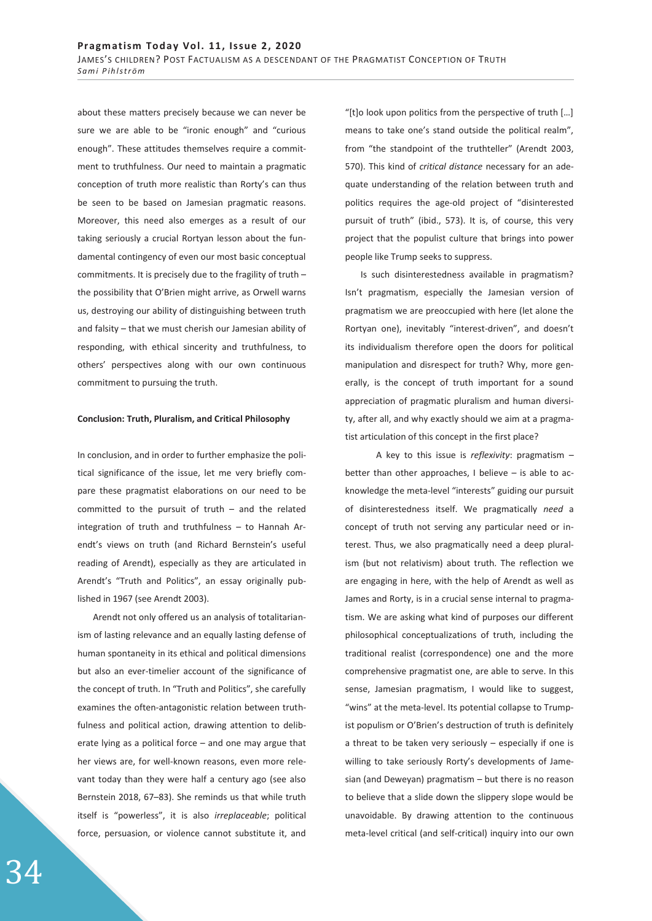about these matters precisely because we can never be sure we are able to be "ironic enough" and "curious enough". These attitudes themselves require a commitment to truthfulness. Our need to maintain a pragmatic conception of truth more realistic than Rorty's can thus be seen to be based on Jamesian pragmatic reasons. Moreover, this need also emerges as a result of our taking seriously a crucial Rortyan lesson about the fundamental contingency of even our most basic conceptual commitments. It is precisely due to the fragility of truth – the possibility that O'Brien might arrive, as Orwell warns us, destroying our ability of distinguishing between truth and falsity – that we must cherish our Jamesian ability of responding, with ethical sincerity and truthfulness, to others' perspectives along with our own continuous commitment to pursuing the truth.

### **Conclusion: Truth, Pluralism, and Critical Philosophy**

In conclusion, and in order to further emphasize the political significance of the issue, let me very briefly compare these pragmatist elaborations on our need to be committed to the pursuit of truth – and the related integration of truth and truthfulness – to Hannah Arendt's views on truth (and Richard Bernstein's useful reading of Arendt), especially as they are articulated in Arendt's "Truth and Politics", an essay originally published in 1967 (see Arendt 2003).

Arendt not only offered us an analysis of totalitarianism of lasting relevance and an equally lasting defense of human spontaneity in its ethical and political dimensions but also an ever-timelier account of the significance of the concept of truth. In "Truth and Politics", she carefully examines the often-antagonistic relation between truthfulness and political action, drawing attention to deliberate lying as a political force – and one may argue that her views are, for well-known reasons, even more relevant today than they were half a century ago (see also Bernstein 2018, 67–83). She reminds us that while truth itself is "powerless", it is also *irreplaceable*; political force, persuasion, or violence cannot substitute it, and

"[t]o look upon politics from the perspective of truth […] means to take one's stand outside the political realm", from "the standpoint of the truthteller" (Arendt 2003, 570). This kind of *critical distance* necessary for an adequate understanding of the relation between truth and politics requires the age-old project of "disinterested pursuit of truth" (ibid., 573). It is, of course, this very project that the populist culture that brings into power people like Trump seeks to suppress.

Is such disinterestedness available in pragmatism? Isn't pragmatism, especially the Jamesian version of pragmatism we are preoccupied with here (let alone the Rortyan one), inevitably "interest-driven", and doesn't its individualism therefore open the doors for political manipulation and disrespect for truth? Why, more generally, is the concept of truth important for a sound appreciation of pragmatic pluralism and human diversity, after all, and why exactly should we aim at a pragmatist articulation of this concept in the first place?

 A key to this issue is *reflexivity*: pragmatism – better than other approaches, I believe – is able to acknowledge the meta-level "interests" guiding our pursuit of disinterestedness itself. We pragmatically *need* a concept of truth not serving any particular need or interest. Thus, we also pragmatically need a deep pluralism (but not relativism) about truth. The reflection we are engaging in here, with the help of Arendt as well as James and Rorty, is in a crucial sense internal to pragmatism. We are asking what kind of purposes our different philosophical conceptualizations of truth, including the traditional realist (correspondence) one and the more comprehensive pragmatist one, are able to serve. In this sense, Jamesian pragmatism, I would like to suggest, "wins" at the meta-level. Its potential collapse to Trumpist populism or O'Brien's destruction of truth is definitely a threat to be taken very seriously – especially if one is willing to take seriously Rorty's developments of Jamesian (and Deweyan) pragmatism – but there is no reason to believe that a slide down the slippery slope would be unavoidable. By drawing attention to the continuous meta-level critical (and self-critical) inquiry into our own

34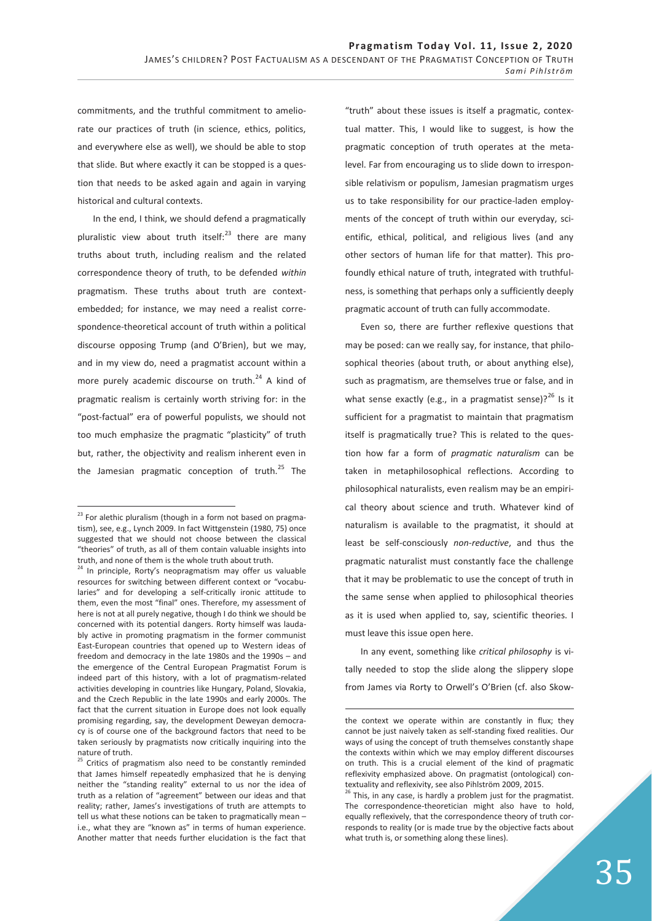commitments, and the truthful commitment to ameliorate our practices of truth (in science, ethics, politics, and everywhere else as well), we should be able to stop that slide. But where exactly it can be stopped is a question that needs to be asked again and again in varying historical and cultural contexts.

In the end, I think, we should defend a pragmatically pluralistic view about truth itself: $^{23}$  there are many truths about truth, including realism and the related correspondence theory of truth, to be defended *within* pragmatism. These truths about truth are contextembedded; for instance, we may need a realist correspondence-theoretical account of truth within a political discourse opposing Trump (and O'Brien), but we may, and in my view do, need a pragmatist account within a more purely academic discourse on truth.<sup>24</sup> A kind of pragmatic realism is certainly worth striving for: in the "post-factual" era of powerful populists, we should not too much emphasize the pragmatic "plasticity" of truth but, rather, the objectivity and realism inherent even in the Jamesian pragmatic conception of truth. $^{25}$  The

 $\overline{a}$ 

"truth" about these issues is itself a pragmatic, contextual matter. This, I would like to suggest, is how the pragmatic conception of truth operates at the metalevel. Far from encouraging us to slide down to irresponsible relativism or populism, Jamesian pragmatism urges us to take responsibility for our practice-laden employments of the concept of truth within our everyday, scientific, ethical, political, and religious lives (and any other sectors of human life for that matter). This profoundly ethical nature of truth, integrated with truthfulness, is something that perhaps only a sufficiently deeply pragmatic account of truth can fully accommodate.

Even so, there are further reflexive questions that may be posed: can we really say, for instance, that philosophical theories (about truth, or about anything else), such as pragmatism, are themselves true or false, and in what sense exactly (e.g., in a pragmatist sense)? $^{26}$  Is it sufficient for a pragmatist to maintain that pragmatism itself is pragmatically true? This is related to the question how far a form of *pragmatic naturalism* can be taken in metaphilosophical reflections. According to philosophical naturalists, even realism may be an empirical theory about science and truth. Whatever kind of naturalism is available to the pragmatist, it should at least be self-consciously *non-reductive*, and thus the pragmatic naturalist must constantly face the challenge that it may be problematic to use the concept of truth in the same sense when applied to philosophical theories as it is used when applied to, say, scientific theories. I must leave this issue open here.

In any event, something like *critical philosophy* is vitally needed to stop the slide along the slippery slope from James via Rorty to Orwell's O'Brien (cf. also Skow-

-

 $23$  For alethic pluralism (though in a form not based on pragmatism), see, e.g., Lynch 2009. In fact Wittgenstein (1980, 75) once suggested that we should not choose between the classical "theories" of truth, as all of them contain valuable insights into truth, and none of them is the whole truth about truth.

<sup>&</sup>lt;sup>24</sup> In principle, Rorty's neopragmatism may offer us valuable resources for switching between different context or "vocabularies" and for developing a self-critically ironic attitude to them, even the most "final" ones. Therefore, my assessment of here is not at all purely negative, though I do think we should be concerned with its potential dangers. Rorty himself was laudably active in promoting pragmatism in the former communist East-European countries that opened up to Western ideas of freedom and democracy in the late 1980s and the 1990s – and the emergence of the Central European Pragmatist Forum is indeed part of this history, with a lot of pragmatism-related activities developing in countries like Hungary, Poland, Slovakia, and the Czech Republic in the late 1990s and early 2000s. The fact that the current situation in Europe does not look equally promising regarding, say, the development Deweyan democracy is of course one of the background factors that need to be taken seriously by pragmatists now critically inquiring into the nature of truth.

<sup>&</sup>lt;sup>25</sup> Critics of pragmatism also need to be constantly reminded that James himself repeatedly emphasized that he is denying neither the "standing reality" external to us nor the idea of truth as a relation of "agreement" between our ideas and that reality; rather, James's investigations of truth are attempts to tell us what these notions can be taken to pragmatically mean – i.e., what they are "known as" in terms of human experience. Another matter that needs further elucidation is the fact that

the context we operate within are constantly in flux; they cannot be just naively taken as self-standing fixed realities. Our ways of using the concept of truth themselves constantly shape the contexts within which we may employ different discourses on truth. This is a crucial element of the kind of pragmatic reflexivity emphasized above. On pragmatist (ontological) contextuality and reflexivity, see also Pihlström 2009, 2015.

 $26$  This, in any case, is hardly a problem just for the pragmatist. The correspondence-theoretician might also have to hold, equally reflexively, that the correspondence theory of truth corresponds to reality (or is made true by the objective facts about what truth is, or something along these lines).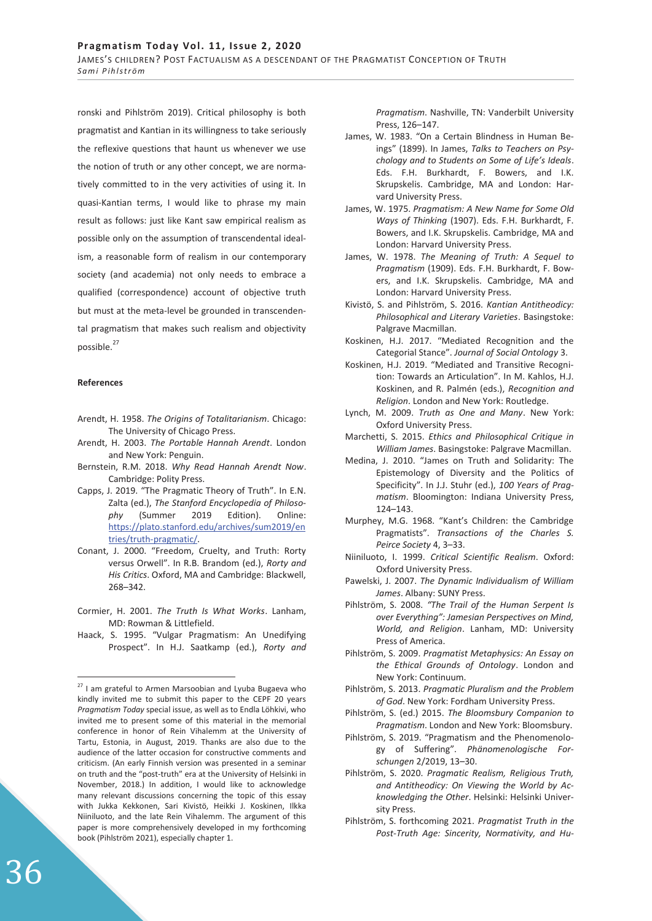ronski and Pihlström 2019). Critical philosophy is both pragmatist and Kantian in its willingness to take seriously the reflexive questions that haunt us whenever we use the notion of truth or any other concept, we are normatively committed to in the very activities of using it. In quasi-Kantian terms, I would like to phrase my main result as follows: just like Kant saw empirical realism as possible only on the assumption of transcendental idealism, a reasonable form of realism in our contemporary society (and academia) not only needs to embrace a qualified (correspondence) account of objective truth but must at the meta-level be grounded in transcendental pragmatism that makes such realism and objectivity possible.<sup>27</sup>

### **References**

 $\overline{a}$ 

- Arendt, H. 1958. *The Origins of Totalitarianism*. Chicago: The University of Chicago Press.
- Arendt, H. 2003. *The Portable Hannah Arendt*. London and New York: Penguin.
- Bernstein, R.M. 2018. *Why Read Hannah Arendt Now*. Cambridge: Polity Press.
- Capps, J. 2019. "The Pragmatic Theory of Truth". In E.N. Zalta (ed.), *The Stanford Encyclopedia of Philosophy* (Summer 2019 Edition). Online: https://plato.stanford.edu/archives/sum2019/en tries/truth-pragmatic/.
- Conant, J. 2000. "Freedom, Cruelty, and Truth: Rorty versus Orwell". In R.B. Brandom (ed.), *Rorty and His Critics*. Oxford, MA and Cambridge: Blackwell, 268–342.
- Cormier, H. 2001. *The Truth Is What Works*. Lanham, MD: Rowman & Littlefield.
- Haack, S. 1995. "Vulgar Pragmatism: An Unedifying Prospect". In H.J. Saatkamp (ed.), *Rorty and*

*Pragmatism*. Nashville, TN: Vanderbilt University Press, 126–147.

- James, W. 1983. "On a Certain Blindness in Human Beings" (1899). In James, *Talks to Teachers on Psychology and to Students on Some of Life's Ideals*. Eds. F.H. Burkhardt, F. Bowers, and I.K. Skrupskelis. Cambridge, MA and London: Harvard University Press.
- James, W. 1975. *Pragmatism: A New Name for Some Old Ways of Thinking* (1907). Eds. F.H. Burkhardt, F. Bowers, and I.K. Skrupskelis. Cambridge, MA and London: Harvard University Press.
- James, W. 1978. *The Meaning of Truth: A Sequel to Pragmatism* (1909). Eds. F.H. Burkhardt, F. Bowers, and I.K. Skrupskelis. Cambridge, MA and London: Harvard University Press.
- Kivistö, S. and Pihlström, S. 2016. *Kantian Antitheodicy: Philosophical and Literary Varieties*. Basingstoke: Palgrave Macmillan.
- Koskinen, H.J. 2017. "Mediated Recognition and the Categorial Stance". *Journal of Social Ontology* 3.
- Koskinen, H.J. 2019. "Mediated and Transitive Recognition: Towards an Articulation". In M. Kahlos, H.J. Koskinen, and R. Palmén (eds.), *Recognition and Religion*. London and New York: Routledge.
- Lynch, M. 2009. *Truth as One and Many*. New York: Oxford University Press.
- Marchetti, S. 2015. *Ethics and Philosophical Critique in William James*. Basingstoke: Palgrave Macmillan.
- Medina, J. 2010. "James on Truth and Solidarity: The Epistemology of Diversity and the Politics of Specificity". In J.J. Stuhr (ed.), *100 Years of Pragmatism*. Bloomington: Indiana University Press, 124–143.
- Murphey, M.G. 1968. "Kant's Children: the Cambridge Pragmatists". *Transactions of the Charles S. Peirce Society* 4, 3–33.
- Niiniluoto, I. 1999. *Critical Scientific Realism*. Oxford: Oxford University Press.
- Pawelski, J. 2007. *The Dynamic Individualism of William James*. Albany: SUNY Press.
- Pihlström, S. 2008. *"The Trail of the Human Serpent Is over Everything": Jamesian Perspectives on Mind, World, and Religion*. Lanham, MD: University Press of America.
- Pihlström, S. 2009. *Pragmatist Metaphysics: An Essay on the Ethical Grounds of Ontology*. London and New York: Continuum.
- Pihlström, S. 2013. *Pragmatic Pluralism and the Problem of God*. New York: Fordham University Press.
- Pihlström, S. (ed.) 2015. *The Bloomsbury Companion to Pragmatism*. London and New York: Bloomsbury.
- Pihlström, S. 2019. "Pragmatism and the Phenomenology of Suffering". *Phänomenologische Forschungen* 2/2019, 13–30.
- Pihlström, S. 2020. *Pragmatic Realism, Religious Truth, and Antitheodicy: On Viewing the World by Acknowledging the Other*. Helsinki: Helsinki University Press.
- Pihlström, S. forthcoming 2021. *Pragmatist Truth in the Post-Truth Age: Sincerity, Normativity, and Hu-*

 $27$  I am grateful to Armen Marsoobian and Lyuba Bugaeva who kindly invited me to submit this paper to the CEPF 20 years *Pragmatism Today* special issue, as well as to Endla Löhkivi, who invited me to present some of this material in the memorial conference in honor of Rein Vihalemm at the University of Tartu, Estonia, in August, 2019. Thanks are also due to the audience of the latter occasion for constructive comments and criticism. (An early Finnish version was presented in a seminar on truth and the "post-truth" era at the University of Helsinki in November, 2018.) In addition, I would like to acknowledge many relevant discussions concerning the topic of this essay with Jukka Kekkonen, Sari Kivistö, Heikki J. Koskinen, Ilkka Niiniluoto, and the late Rein Vihalemm. The argument of this paper is more comprehensively developed in my forthcoming book (Pihlström 2021), especially chapter 1.